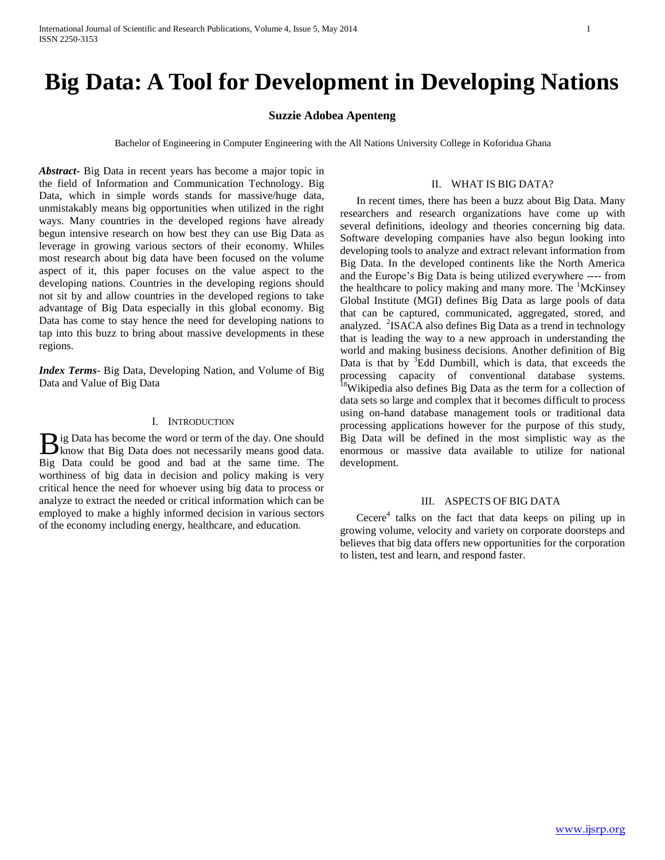# **Big Data: A Tool for Development in Developing Nations**

## **Suzzie Adobea Apenteng**

Bachelor of Engineering in Computer Engineering with the All Nations University College in Koforidua Ghana

*Abstract***-** Big Data in recent years has become a major topic in the field of Information and Communication Technology. Big Data, which in simple words stands for massive/huge data, unmistakably means big opportunities when utilized in the right ways. Many countries in the developed regions have already begun intensive research on how best they can use Big Data as leverage in growing various sectors of their economy. Whiles most research about big data have been focused on the volume aspect of it, this paper focuses on the value aspect to the developing nations. Countries in the developing regions should not sit by and allow countries in the developed regions to take advantage of Big Data especially in this global economy. Big Data has come to stay hence the need for developing nations to tap into this buzz to bring about massive developments in these regions.

*Index Terms*- Big Data, Developing Nation, and Volume of Big Data and Value of Big Data

### I. INTRODUCTION

ig Data has become the word or term of the day. One should B ig Data has become the word or term of the day. One should<br>know that Big Data does not necessarily means good data. Big Data could be good and bad at the same time. The worthiness of big data in decision and policy making is very critical hence the need for whoever using big data to process or analyze to extract the needed or critical information which can be employed to make a highly informed decision in various sectors of the economy including energy, healthcare, and education.

#### II. WHAT IS BIG DATA?

 In recent times, there has been a buzz about Big Data. Many researchers and research organizations have come up with several definitions, ideology and theories concerning big data. Software developing companies have also begun looking into developing tools to analyze and extract relevant information from Big Data. In the developed continents like the North America and the Europe's Big Data is being utilized everywhere ---- from the healthcare to policy making and many more. The <sup>1</sup>McKinsey Global Institute (MGI) defines Big Data as large pools of data that can be captured, communicated, aggregated, stored, and analyzed. <sup>2</sup>ISACA also defines Big Data as a trend in technology that is leading the way to a new approach in understanding the world and making business decisions. Another definition of Big Data is that by  ${}^{3}$ Edd Dumbill, which is data, that exceeds the processing capacity of conventional database systems. <sup>18</sup>Wikipedia also defines Big Data as the term for a collection of data sets so large and complex that it becomes difficult to process using on-hand database management tools or traditional data processing applications however for the purpose of this study, Big Data will be defined in the most simplistic way as the enormous or massive data available to utilize for national development.

## III. ASPECTS OF BIG DATA

Cecere<sup>4</sup> talks on the fact that data keeps on piling up in growing volume, velocity and variety on corporate doorsteps and believes that big data offers new opportunities for the corporation to listen, test and learn, and respond faster.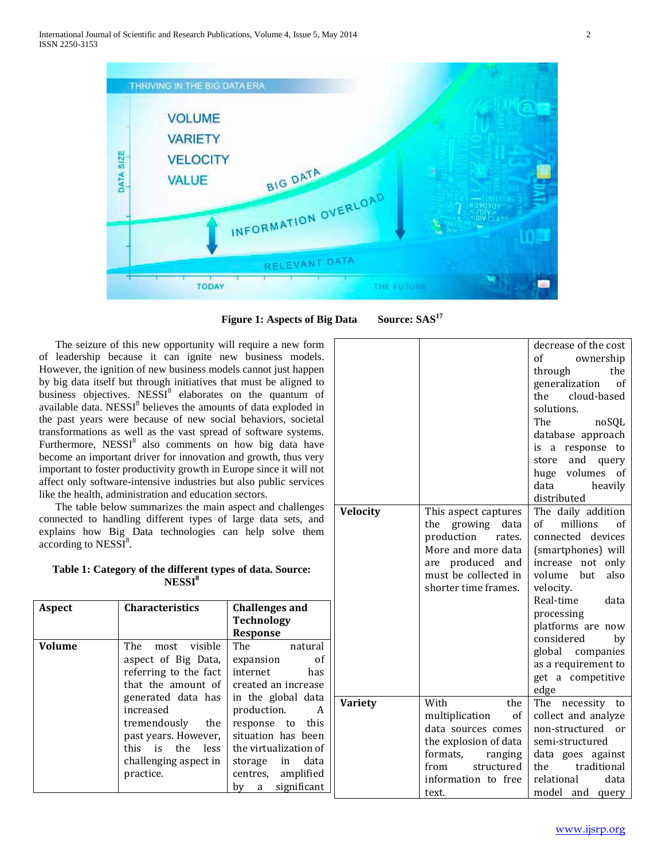

**Figure 1: Aspects of Big Data Source: SAS<sup>17</sup>**

 The seizure of this new opportunity will require a new form of leadership because it can ignite new business models. However, the ignition of new business models cannot just happen by big data itself but through initiatives that must be aligned to business objectives.  $NESSI<sup>8</sup>$  elaborates on the quantum of available data. NESSI<sup>8</sup> believes the amounts of data exploded in the past years were because of new social behaviors, societal transformations as well as the vast spread of software systems. Furthermore,  $NESSI<sup>8</sup>$  also comments on how big data have become an important driver for innovation and growth, thus very important to foster productivity growth in Europe since it will not affect only software-intensive industries but also public services like the health, administration and education sectors.

 The table below summarizes the main aspect and challenges connected to handling different types of large data sets, and explains how Big Data technologies can help solve them  $\arccot\right)$  according to NESSI<sup>8</sup>.

|  | Table 1: Category of the different types of data. Source: |  |  |
|--|-----------------------------------------------------------|--|--|
|  | NESSI <sup>8</sup>                                        |  |  |

| Aspect        | <b>Characteristics</b>                                                                                                                                                                                                                                                  | <b>Challenges and</b><br><b>Technology</b><br><b>Response</b>                                                                                                                                                                                                                                                                                       |              |
|---------------|-------------------------------------------------------------------------------------------------------------------------------------------------------------------------------------------------------------------------------------------------------------------------|-----------------------------------------------------------------------------------------------------------------------------------------------------------------------------------------------------------------------------------------------------------------------------------------------------------------------------------------------------|--------------|
| <b>Volume</b> | visible<br>The<br>most<br>aspect of Big Data,<br>referring to the fact<br>that the amount of $\vert$ created an increase<br>generated data has<br>increased<br>tremendously<br>the<br>past years. However,<br>this is the<br>less<br>challenging aspect in<br>practice. | The the state of the state of the state of the state of the state of the state of the state of the state of the<br>natural<br>expansion<br>0t<br>internet<br>has<br>in the global data<br>production.<br>A<br>response to this<br>situation has been<br>the virtualization of<br>data<br>storage in<br>centres, amplified<br>significant<br>by<br>a | <b>Varie</b> |

| decrease of the cost<br>of<br>ownership<br>through<br>the<br>generalization<br>of<br>the<br>cloud-based<br>solutions.<br>The<br>noSQL<br>database approach<br>response<br>to<br>is<br>a<br>and<br>store<br>query<br>huge volumes<br>of<br>data<br>heavily |
|-----------------------------------------------------------------------------------------------------------------------------------------------------------------------------------------------------------------------------------------------------------|
|                                                                                                                                                                                                                                                           |
|                                                                                                                                                                                                                                                           |
|                                                                                                                                                                                                                                                           |
|                                                                                                                                                                                                                                                           |
|                                                                                                                                                                                                                                                           |
|                                                                                                                                                                                                                                                           |
|                                                                                                                                                                                                                                                           |
|                                                                                                                                                                                                                                                           |
|                                                                                                                                                                                                                                                           |
|                                                                                                                                                                                                                                                           |
|                                                                                                                                                                                                                                                           |
|                                                                                                                                                                                                                                                           |
| distributed                                                                                                                                                                                                                                               |
| The daily addition<br><b>Velocity</b><br>This aspect captures                                                                                                                                                                                             |
| millions<br>growing<br>of<br>οf<br>the<br>data                                                                                                                                                                                                            |
| production<br>connected<br>devices<br>rates.                                                                                                                                                                                                              |
| More and more data<br>(smartphones) will                                                                                                                                                                                                                  |
| produced<br>increase<br>not<br>only<br>and<br>are                                                                                                                                                                                                         |
| must be collected in<br>volume<br>also<br>but                                                                                                                                                                                                             |
| shorter time frames.<br>velocity.                                                                                                                                                                                                                         |
| Real-time<br>data                                                                                                                                                                                                                                         |
| processing                                                                                                                                                                                                                                                |
| platforms are now                                                                                                                                                                                                                                         |
| considered<br>by                                                                                                                                                                                                                                          |
| global companies                                                                                                                                                                                                                                          |
| as a requirement to                                                                                                                                                                                                                                       |
| get a competitive                                                                                                                                                                                                                                         |
| edge<br>With<br>the<br>The                                                                                                                                                                                                                                |
| Variety<br>necessity<br>to<br>multiplication<br>collect and analyze<br>of                                                                                                                                                                                 |
| data sources comes<br>non-structured<br>or                                                                                                                                                                                                                |
| the explosion of data<br>semi-structured                                                                                                                                                                                                                  |
| formats,<br>ranging<br>data goes against                                                                                                                                                                                                                  |
| structured<br>traditional<br>from<br>the                                                                                                                                                                                                                  |
| information to free<br>relational<br>data                                                                                                                                                                                                                 |

text.

model and query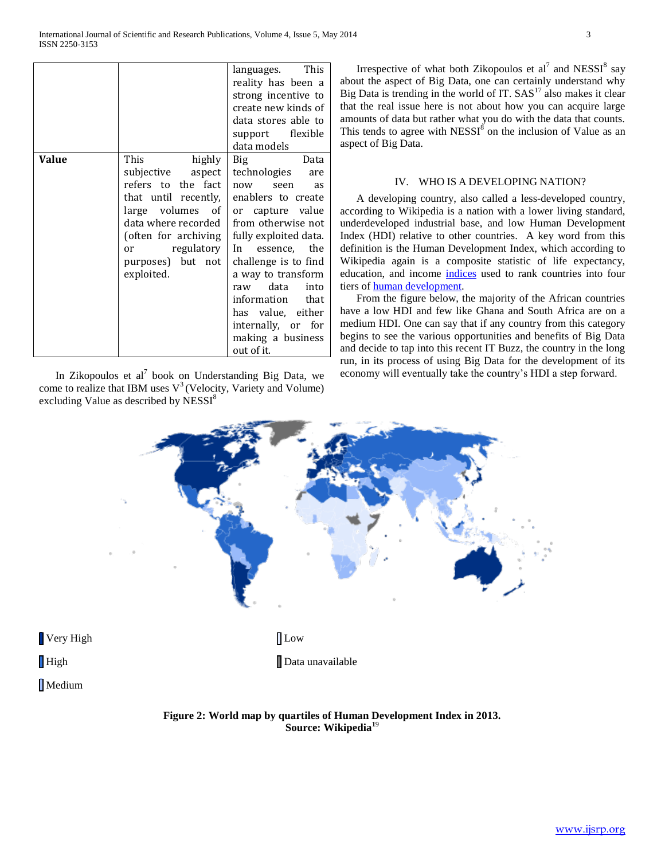|       |                      | languages. This       |
|-------|----------------------|-----------------------|
|       |                      | reality has been a    |
|       |                      | strong incentive to   |
|       |                      | create new kinds of   |
|       |                      | data stores able to   |
|       |                      | support flexible      |
|       |                      | data models           |
| Value | This<br>highly       | Data<br><b>Big</b>    |
|       | subjective aspect    | technologies<br>are   |
|       | refers to the fact   | now<br>seen<br>as     |
|       | that until recently, | enablers to create    |
|       | large volumes of     | or capture value      |
|       | data where recorded  | from otherwise not    |
|       | (often for archiving | fully exploited data. |
|       | or regulatory        | essence, the<br>In    |
|       | purposes) but not    | challenge is to find  |
|       | exploited.           | a way to transform    |
|       |                      | raw data<br>into      |
|       |                      | information that      |
|       |                      | has value, either     |
|       |                      | internally, or for    |
|       |                      | making a business     |
|       |                      | out of it.            |

In Zikopoulos et al<sup>7</sup> book on Understanding Big Data, we come to realize that IBM uses  $V^3$  (Velocity, Variety and Volume) excluding Value as described by NESSI<sup>8</sup>

Irrespective of what both Zikopoulos et al<sup>7</sup> and NESSI<sup>8</sup> say about the aspect of Big Data, one can certainly understand why Big Data is trending in the world of IT.  $SAS<sup>17</sup>$  also makes it clear that the real issue here is not about how you can acquire large amounts of data but rather what you do with the data that counts. This tends to agree with  $NESSI^{\tilde{8}}$  on the inclusion of Value as an aspect of Big Data.

## IV. WHO IS A DEVELOPING NATION?

 A developing country, also called a less-developed country, according to Wikipedia is a nation with a lower living standard, underdeveloped industrial base, and low Human Development Index (HDI) relative to other countries. A key word from this definition is the Human Development Index, which according to Wikipedia again is a composite statistic of life expectancy, education, and income [indices](http://en.wikipedia.org/wiki/Index_%28economics%29) used to rank countries into four tiers of [human development.](http://en.wikipedia.org/wiki/Human_development_%28humanity%29)

 From the figure below, the majority of the African countries have a low HDI and few like Ghana and South Africa are on a medium HDI. One can say that if any country from this category begins to see the various opportunities and benefits of Big Data and decide to tap into this recent IT Buzz, the country in the long run, in its process of using Big Data for the development of its economy will eventually take the country's HDI a step forward.



**Figure 2: World map by quartiles of Human Development Index in 2013. Source: Wikipedia<sup>1</sup>**<sup>9</sup>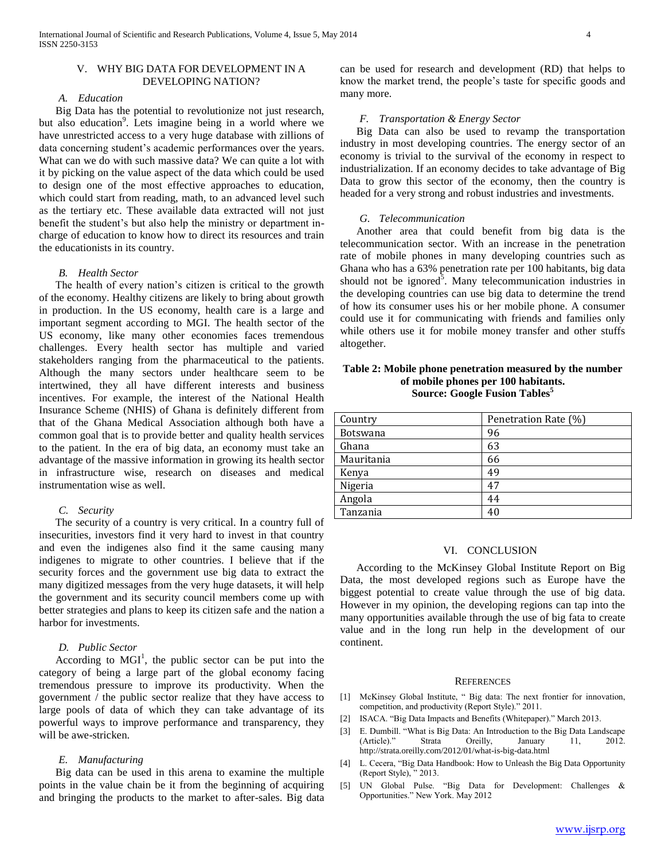## V. WHY BIG DATA FOR DEVELOPMENT IN A DEVELOPING NATION?

## *A. Education*

 Big Data has the potential to revolutionize not just research, but also education<sup>9</sup>. Lets imagine being in a world where we have unrestricted access to a very huge database with zillions of data concerning student's academic performances over the years. What can we do with such massive data? We can quite a lot with it by picking on the value aspect of the data which could be used to design one of the most effective approaches to education, which could start from reading, math, to an advanced level such as the tertiary etc. These available data extracted will not just benefit the student's but also help the ministry or department incharge of education to know how to direct its resources and train the educationists in its country.

## *B. Health Sector*

 The health of every nation's citizen is critical to the growth of the economy. Healthy citizens are likely to bring about growth in production. In the US economy, health care is a large and important segment according to MGI. The health sector of the US economy, like many other economies faces tremendous challenges. Every health sector has multiple and varied stakeholders ranging from the pharmaceutical to the patients. Although the many sectors under healthcare seem to be intertwined, they all have different interests and business incentives. For example, the interest of the National Health Insurance Scheme (NHIS) of Ghana is definitely different from that of the Ghana Medical Association although both have a common goal that is to provide better and quality health services to the patient. In the era of big data, an economy must take an advantage of the massive information in growing its health sector in infrastructure wise, research on diseases and medical instrumentation wise as well.

#### *C. Security*

 The security of a country is very critical. In a country full of insecurities, investors find it very hard to invest in that country and even the indigenes also find it the same causing many indigenes to migrate to other countries. I believe that if the security forces and the government use big data to extract the many digitized messages from the very huge datasets, it will help the government and its security council members come up with better strategies and plans to keep its citizen safe and the nation a harbor for investments.

## *D. Public Sector*

According to  $MGI<sup>1</sup>$ , the public sector can be put into the category of being a large part of the global economy facing tremendous pressure to improve its productivity. When the government / the public sector realize that they have access to large pools of data of which they can take advantage of its powerful ways to improve performance and transparency, they will be awe-stricken.

#### *E. Manufacturing*

 Big data can be used in this arena to examine the multiple points in the value chain be it from the beginning of acquiring and bringing the products to the market to after-sales. Big data

can be used for research and development (RD) that helps to know the market trend, the people's taste for specific goods and many more.

#### *F. Transportation & Energy Sector*

 Big Data can also be used to revamp the transportation industry in most developing countries. The energy sector of an economy is trivial to the survival of the economy in respect to industrialization. If an economy decides to take advantage of Big Data to grow this sector of the economy, then the country is headed for a very strong and robust industries and investments.

#### *G. Telecommunication*

 Another area that could benefit from big data is the telecommunication sector. With an increase in the penetration rate of mobile phones in many developing countries such as Ghana who has a 63% penetration rate per 100 habitants, big data should not be ignored<sup>5</sup>. Many telecommunication industries in the developing countries can use big data to determine the trend of how its consumer uses his or her mobile phone. A consumer could use it for communicating with friends and families only while others use it for mobile money transfer and other stuffs altogether.

## **Table 2: Mobile phone penetration measured by the number of mobile phones per 100 habitants. Source: Google Fusion Tables<sup>5</sup>**

| Country         | Penetration Rate (%) |
|-----------------|----------------------|
| <b>Botswana</b> | 96                   |
| Ghana           | 63                   |
| Mauritania      | 66                   |
| Kenya           | 49                   |
| Nigeria         | 47                   |
| Angola          | 44                   |
| Tanzania        | 40                   |
|                 |                      |

#### VI. CONCLUSION

 According to the McKinsey Global Institute Report on Big Data, the most developed regions such as Europe have the biggest potential to create value through the use of big data. However in my opinion, the developing regions can tap into the many opportunities available through the use of big fata to create value and in the long run help in the development of our continent.

#### **REFERENCES**

- [1] McKinsey Global Institute, " Big data: The next frontier for innovation, competition, and productivity (Report Style)." 2011.
- [2] ISACA. "Big Data Impacts and Benefits (Whitepaper)." March 2013.
- [3] E. Dumbill. "What is Big Data: An Introduction to the Big Data Landscape (Article)." Strata Oreilly, January 11, 2012. http://strata.oreilly.com/2012/01/what-is-big-data.html
- [4] L. Cecera, "Big Data Handbook: How to Unleash the Big Data Opportunity (Report Style), " 2013.
- [5] UN Global Pulse. "Big Data for Development: Challenges & Opportunities." New York. May 2012